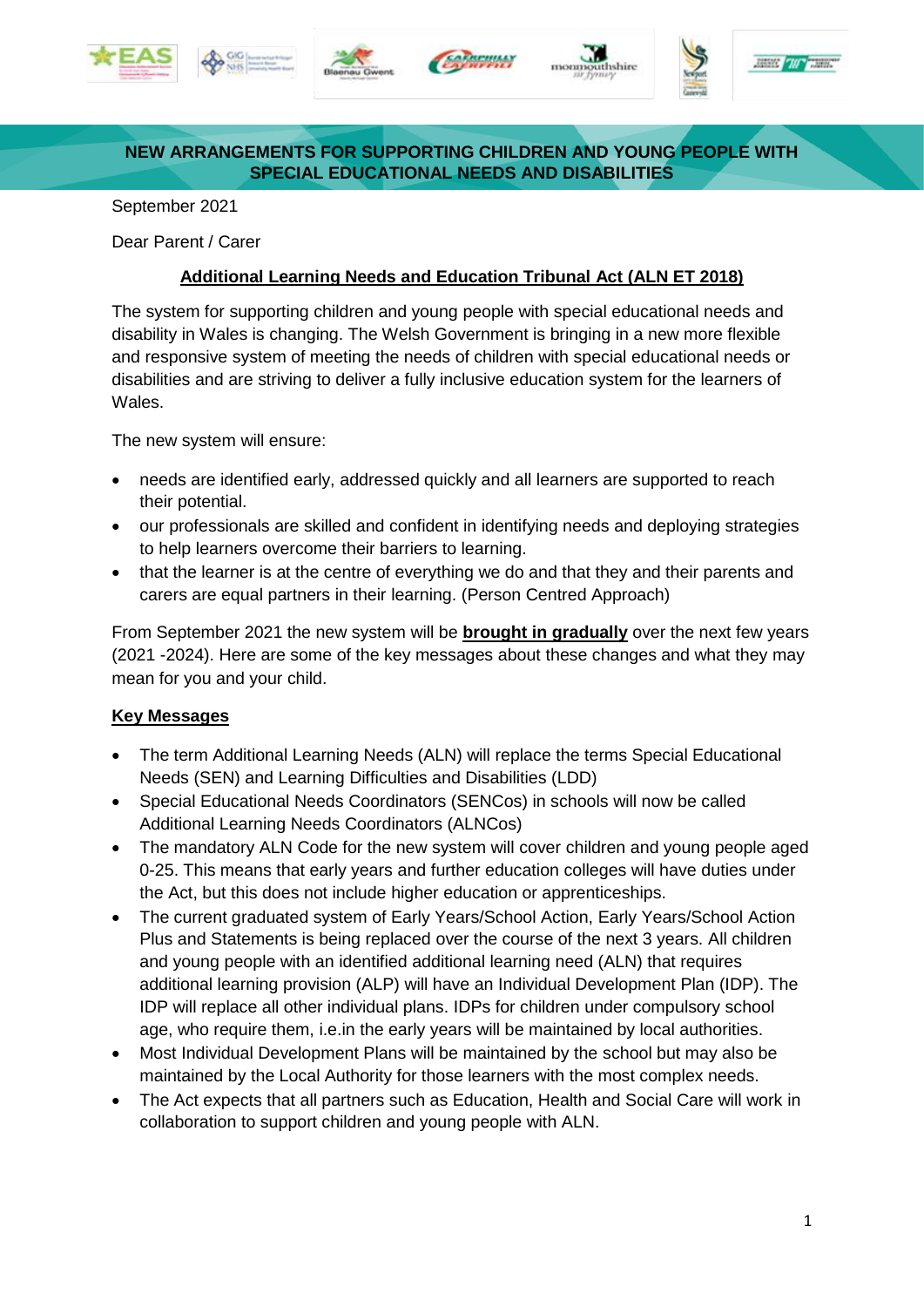











## **NEW ARRANGEMENTS FOR SUPPORTING CHILDREN AND YOUNG PEOPLE WITH SPECIAL EDUCATIONAL NEEDS AND DISABILITIES**

September 2021

Dear Parent / Carer

## **Additional Learning Needs and Education Tribunal Act (ALN ET 2018)**

The system for supporting children and young people with special educational needs and disability in Wales is changing. The Welsh Government is bringing in a new more flexible and responsive system of meeting the needs of children with special educational needs or disabilities and are striving to deliver a fully inclusive education system for the learners of Wales.

The new system will ensure:

- needs are identified early, addressed quickly and all learners are supported to reach their potential.
- our professionals are skilled and confident in identifying needs and deploying strategies to help learners overcome their barriers to learning.
- that the learner is at the centre of everything we do and that they and their parents and carers are equal partners in their learning. (Person Centred Approach)

From September 2021 the new system will be **brought in gradually** over the next few years (2021 -2024). Here are some of the key messages about these changes and what they may mean for you and your child.

## **Key Messages**

- The term Additional Learning Needs (ALN) will replace the terms Special Educational Needs (SEN) and Learning Difficulties and Disabilities (LDD)
- Special Educational Needs Coordinators (SENCos) in schools will now be called Additional Learning Needs Coordinators (ALNCos)
- The mandatory ALN Code for the new system will cover children and young people aged 0-25. This means that early years and further education colleges will have duties under the Act, but this does not include higher education or apprenticeships.
- The current graduated system of Early Years/School Action, Early Years/School Action Plus and Statements is being replaced over the course of the next 3 years. All children and young people with an identified additional learning need (ALN) that requires additional learning provision (ALP) will have an Individual Development Plan (IDP). The IDP will replace all other individual plans. IDPs for children under compulsory school age, who require them, i.e.in the early years will be maintained by local authorities.
- Most Individual Development Plans will be maintained by the school but may also be maintained by the Local Authority for those learners with the most complex needs.
- The Act expects that all partners such as Education, Health and Social Care will work in collaboration to support children and young people with ALN.